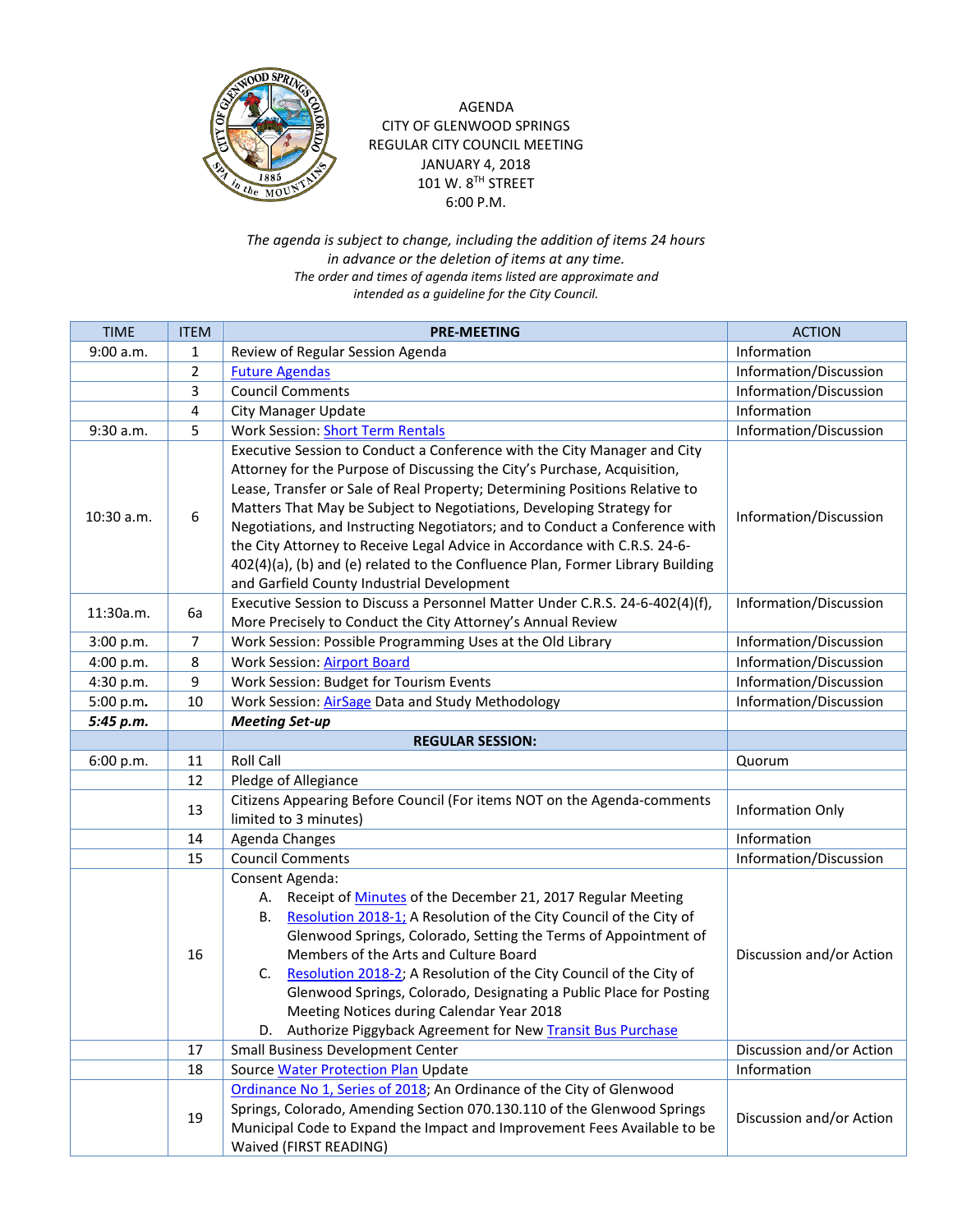

## AGENDA CITY OF GLENWOOD SPRINGS REGULAR CITY COUNCIL MEETING JANUARY 4, 2018 101 W.  $8^{TH}$  STREET 6:00 P.M.

*The agenda is subject to change, including the addition of items 24 hours in advance or the deletion of items at any time. The order and times of agenda items listed are approximate and intended as a guideline for the City Council.*

| <b>TIME</b> | <b>ITEM</b>    | <b>PRE-MEETING</b>                                                             | <b>ACTION</b>            |
|-------------|----------------|--------------------------------------------------------------------------------|--------------------------|
| 9:00 a.m.   | 1              | Review of Regular Session Agenda                                               | Information              |
|             | $\overline{2}$ | <b>Future Agendas</b>                                                          | Information/Discussion   |
|             | 3              | <b>Council Comments</b>                                                        | Information/Discussion   |
|             | 4              | <b>City Manager Update</b>                                                     | Information              |
| 9:30 a.m.   | 5              | <b>Work Session: Short Term Rentals</b>                                        | Information/Discussion   |
|             |                | Executive Session to Conduct a Conference with the City Manager and City       |                          |
| 10:30 a.m.  | 6              | Attorney for the Purpose of Discussing the City's Purchase, Acquisition,       | Information/Discussion   |
|             |                | Lease, Transfer or Sale of Real Property; Determining Positions Relative to    |                          |
|             |                | Matters That May be Subject to Negotiations, Developing Strategy for           |                          |
|             |                | Negotiations, and Instructing Negotiators; and to Conduct a Conference with    |                          |
|             |                | the City Attorney to Receive Legal Advice in Accordance with C.R.S. 24-6-      |                          |
|             |                | 402(4)(a), (b) and (e) related to the Confluence Plan, Former Library Building |                          |
|             |                | and Garfield County Industrial Development                                     |                          |
| 11:30a.m.   | 6a             | Executive Session to Discuss a Personnel Matter Under C.R.S. 24-6-402(4)(f),   | Information/Discussion   |
|             |                | More Precisely to Conduct the City Attorney's Annual Review                    |                          |
| 3:00 p.m.   | 7              | Work Session: Possible Programming Uses at the Old Library                     | Information/Discussion   |
| 4:00 p.m.   | 8              | <b>Work Session: Airport Board</b>                                             | Information/Discussion   |
| 4:30 p.m.   | 9              | Work Session: Budget for Tourism Events                                        | Information/Discussion   |
| 5:00 p.m.   | 10             | Work Session: AirSage Data and Study Methodology                               | Information/Discussion   |
| 5:45 p.m.   |                | <b>Meeting Set-up</b>                                                          |                          |
|             |                | <b>REGULAR SESSION:</b>                                                        |                          |
| 6:00 p.m.   | 11             | <b>Roll Call</b>                                                               | Quorum                   |
|             | 12             | Pledge of Allegiance                                                           |                          |
|             | 13             | Citizens Appearing Before Council (For items NOT on the Agenda-comments        | Information Only         |
|             |                | limited to 3 minutes)                                                          |                          |
|             | 14             | Agenda Changes                                                                 | Information              |
|             | 15             | <b>Council Comments</b>                                                        | Information/Discussion   |
|             |                | Consent Agenda:                                                                | Discussion and/or Action |
|             |                | A. Receipt of Minutes of the December 21, 2017 Regular Meeting                 |                          |
|             |                | B. Resolution 2018-1; A Resolution of the City Council of the City of          |                          |
|             |                | Glenwood Springs, Colorado, Setting the Terms of Appointment of                |                          |
|             | 16             | Members of the Arts and Culture Board                                          |                          |
|             |                | C. Resolution 2018-2; A Resolution of the City Council of the City of          |                          |
|             |                | Glenwood Springs, Colorado, Designating a Public Place for Posting             |                          |
|             |                | Meeting Notices during Calendar Year 2018                                      |                          |
|             |                | D. Authorize Piggyback Agreement for New Transit Bus Purchase                  |                          |
|             | 17             | Small Business Development Center                                              | Discussion and/or Action |
|             | 18             | <b>Source Water Protection Plan Update</b>                                     | Information              |
|             |                | Ordinance No 1, Series of 2018; An Ordinance of the City of Glenwood           | Discussion and/or Action |
|             | 19             | Springs, Colorado, Amending Section 070.130.110 of the Glenwood Springs        |                          |
|             |                | Municipal Code to Expand the Impact and Improvement Fees Available to be       |                          |
|             |                | Waived (FIRST READING)                                                         |                          |